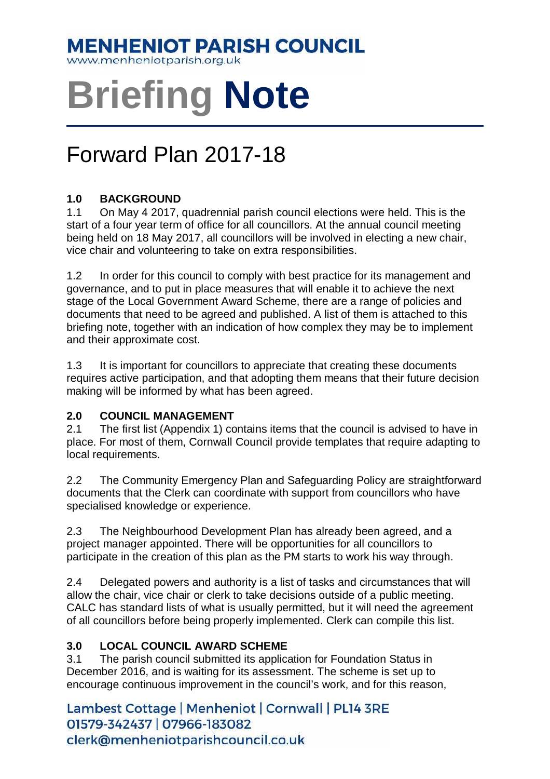### **MENHENIOT PARISH COUNCIL**

www.menheniotparish.org.uk

## **Briefing Note**

## Forward Plan 2017-18

#### **1.0 BACKGROUND**

1.1 On May 4 2017, quadrennial parish council elections were held. This is the start of a four year term of office for all councillors. At the annual council meeting being held on 18 May 2017, all councillors will be involved in electing a new chair, vice chair and volunteering to take on extra responsibilities.

1.2 In order for this council to comply with best practice for its management and governance, and to put in place measures that will enable it to achieve the next stage of the Local Government Award Scheme, there are a range of policies and documents that need to be agreed and published. A list of them is attached to this briefing note, together with an indication of how complex they may be to implement and their approximate cost.

1.3 It is important for councillors to appreciate that creating these documents requires active participation, and that adopting them means that their future decision making will be informed by what has been agreed.

#### **2.0 COUNCIL MANAGEMENT**

2.1 The first list (Appendix 1) contains items that the council is advised to have in place. For most of them, Cornwall Council provide templates that require adapting to local requirements.

2.2 The Community Emergency Plan and Safeguarding Policy are straightforward documents that the Clerk can coordinate with support from councillors who have specialised knowledge or experience.

2.3 The Neighbourhood Development Plan has already been agreed, and a project manager appointed. There will be opportunities for all councillors to participate in the creation of this plan as the PM starts to work his way through.

2.4 Delegated powers and authority is a list of tasks and circumstances that will allow the chair, vice chair or clerk to take decisions outside of a public meeting. CALC has standard lists of what is usually permitted, but it will need the agreement of all councillors before being properly implemented. Clerk can compile this list.

#### **3.0 LOCAL COUNCIL AWARD SCHEME**

3.1 The parish council submitted its application for Foundation Status in December 2016, and is waiting for its assessment. The scheme is set up to encourage continuous improvement in the council's work, and for this reason,

Lambest Cottage | Menheniot | Cornwall | PL14 3RE 01579-342437 | 07966-183082 clerk@menheniotparishcouncil.co.uk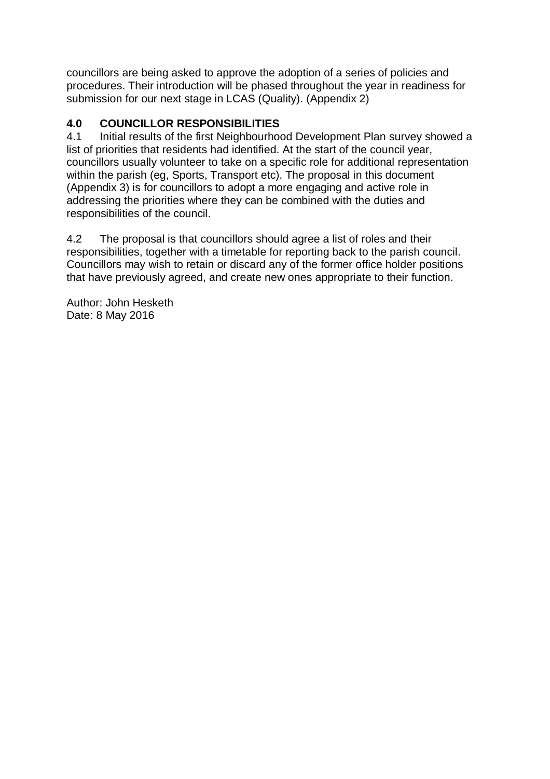councillors are being asked to approve the adoption of a series of policies and procedures. Their introduction will be phased throughout the year in readiness for submission for our next stage in LCAS (Quality). (Appendix 2)

#### **4.0 COUNCILLOR RESPONSIBILITIES**

4.1 Initial results of the first Neighbourhood Development Plan survey showed a list of priorities that residents had identified. At the start of the council year, councillors usually volunteer to take on a specific role for additional representation within the parish (eg, Sports, Transport etc). The proposal in this document (Appendix 3) is for councillors to adopt a more engaging and active role in addressing the priorities where they can be combined with the duties and responsibilities of the council.

4.2 The proposal is that councillors should agree a list of roles and their responsibilities, together with a timetable for reporting back to the parish council. Councillors may wish to retain or discard any of the former office holder positions that have previously agreed, and create new ones appropriate to their function.

Author: John Hesketh Date: 8 May 2016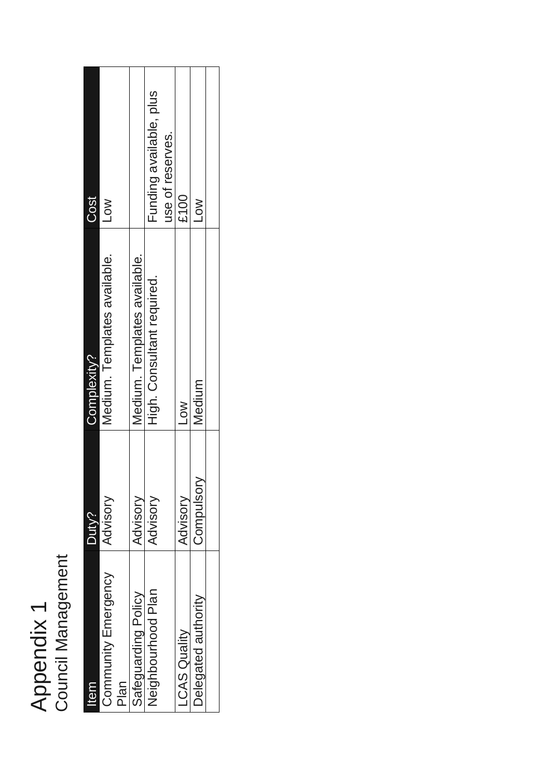# Appendix 1<br>Council Management Council Management Appendix 1

| <b>Item</b>                 | Duty?     | Complexity?                  | Cost                    |
|-----------------------------|-----------|------------------------------|-------------------------|
| Community Emergency<br>Plan | Advisory  | Medium. Templates available. | <b>NOT</b>              |
| Safeguarding Policy         | Advisory  | Medium. Templates available. |                         |
| Neighbourhood Plan          | Advisory  | High. Consultant required.   | Funding available, plus |
|                             |           |                              | use of reserves.        |
| <b>LCAS Quality</b>         | Advisory  | <b>NOT</b>                   | £100                    |
| Delegated authority         | Compulsor | Medium                       | <b>NOT</b>              |
|                             |           |                              |                         |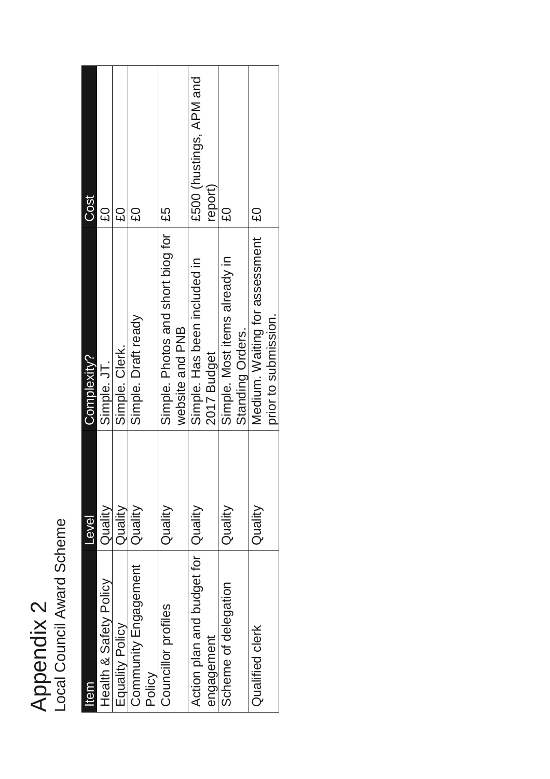| $\overline{\mathsf{C}}$ | Scheme<br>ר<br>ת<br>Ξ.<br>$\tilde{\epsilon}$<br>č<br><u>ร</u> |
|-------------------------|---------------------------------------------------------------|
| $\frac{c}{c}$           |                                                               |

| <b>Item</b>                                        | Level   | Complexity?                                               | Cost                               |
|----------------------------------------------------|---------|-----------------------------------------------------------|------------------------------------|
| Health & Safety Policy                             | Quality | Simple. JT.                                               | <b>C</b>                           |
| Equality Policy                                    | Quality | Simple. Clerk.                                            | <b>GS</b>                          |
| Community Engagement<br>Policy                     | Quality | Simple. Draft ready                                       | <b>GS</b>                          |
| Councillor profiles                                | Quality | Simple. Photos and short biog for   £5<br>website and PNB |                                    |
| Action plan and budget for   Quality<br>engagement |         | Simple. Has been included in<br>2017 Budget               | £500 (hustings, APM and<br>report) |
| Scheme of delegation                               | Quality | Simple. Most items already in<br>Standing Orders.         | <b>CO</b>                          |
| Qualified clerk                                    | Quality | Medium. Waiting for assessment<br>prior to submission.    | $\frac{2}{3}$                      |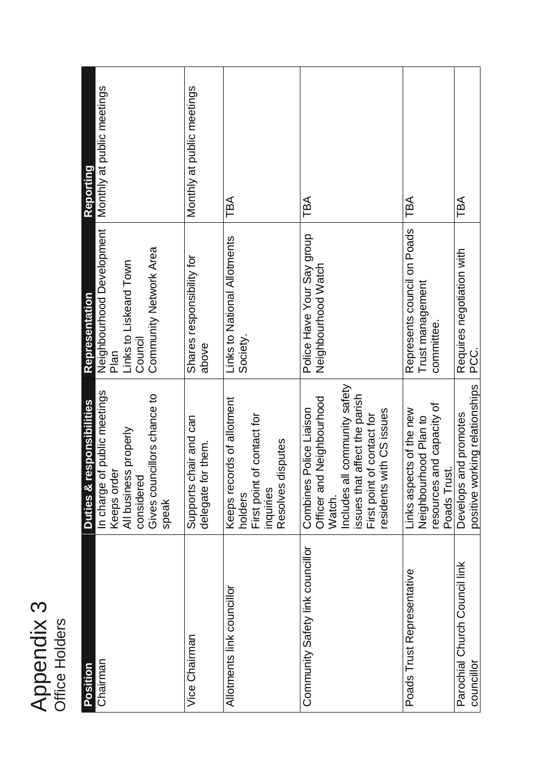| C<br>ر   |   |
|----------|---|
| lers     |   |
| d<br>I)  |   |
| စ္ပ<br>c | Ě |
|          |   |

| Position                                    | Duties & responsibilities                                                                                                                                                                                | Representation                                                                                   | Reporting                  |
|---------------------------------------------|----------------------------------------------------------------------------------------------------------------------------------------------------------------------------------------------------------|--------------------------------------------------------------------------------------------------|----------------------------|
| Chairman                                    | In charge of public meetings<br>Gives councillors chance to<br>All business properly<br>Keeps order<br>considered<br>speak                                                                               | Neighbourhood Development<br>Community Network Area<br>Links to Liskeard Town<br>Council<br>Plan | Monthly at public meetings |
| Vice Chairman                               | Supports chair and can<br>delegate for them.                                                                                                                                                             | Shares responsibility for<br>above                                                               | Monthly at public meetings |
| Allotments link councillor                  | Keeps records of allotment<br>of contact for<br>lisputes<br>Resolves d<br>First point<br>inquiries<br>holders                                                                                            | Links to National Allotments<br>Society.                                                         | TBA                        |
| Community Safety link councillor            | community safety<br>affect the parish<br>Neighbourhood<br>Police Liaison<br>residents with CS issues<br>of contact for<br>Officer and<br>issues that<br>Includes al<br>First point<br>Combines<br>Watch. | Police Have Your Say group<br>Neighbourhood Watch                                                | TBA                        |
| Poads Trust Representative                  | and capacity of<br>Links aspects of the new<br>hood Plan to<br>Poads Trust.<br>Neighbourl<br>resources                                                                                                   | Represents council on Poads<br>Trust management<br>committee.                                    | TBA                        |
| Parochial Church Council link<br>councillor | positive working relationships<br>Develops and promotes                                                                                                                                                  | Requires negotiation with<br>PCC.                                                                | TBA                        |